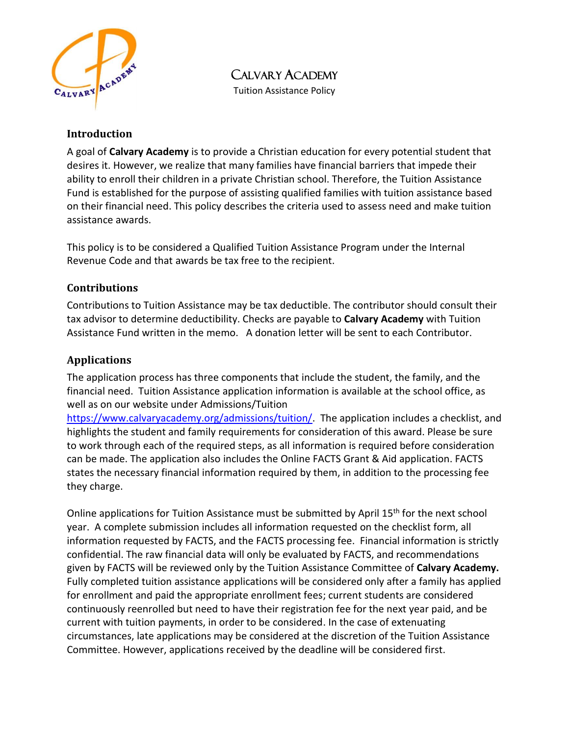

CALVARY ACADEMY

Tuition Assistance Policy

#### **Introduction**

A goal of **Calvary Academy** is to provide a Christian education for every potential student that desires it. However, we realize that many families have financial barriers that impede their ability to enroll their children in a private Christian school. Therefore, the Tuition Assistance Fund is established for the purpose of assisting qualified families with tuition assistance based on their financial need. This policy describes the criteria used to assess need and make tuition assistance awards.

This policy is to be considered a Qualified Tuition Assistance Program under the Internal Revenue Code and that awards be tax free to the recipient.

### **Contributions**

Contributions to Tuition Assistance may be tax deductible. The contributor should consult their tax advisor to determine deductibility. Checks are payable to **Calvary Academy** with Tuition Assistance Fund written in the memo. A donation letter will be sent to each Contributor.

# **Applications**

The application process has three components that include the student, the family, and the financial need. Tuition Assistance application information is available at the school office, as well as on our website under Admissions/Tuition

[https://www.calvaryacademy.org/admissions/tuition/.](https://www.calvaryacademy.org/admissions/tuition/) The application includes a checklist, and highlights the student and family requirements for consideration of this award. Please be sure to work through each of the required steps, as all information is required before consideration can be made. The application also includes the Online FACTS Grant & Aid application. FACTS states the necessary financial information required by them, in addition to the processing fee they charge.

Online applications for Tuition Assistance must be submitted by April 15<sup>th</sup> for the next school year. A complete submission includes all information requested on the checklist form, all information requested by FACTS, and the FACTS processing fee. Financial information is strictly confidential. The raw financial data will only be evaluated by FACTS, and recommendations given by FACTS will be reviewed only by the Tuition Assistance Committee of **Calvary Academy.**  Fully completed tuition assistance applications will be considered only after a family has applied for enrollment and paid the appropriate enrollment fees; current students are considered continuously reenrolled but need to have their registration fee for the next year paid, and be current with tuition payments, in order to be considered. In the case of extenuating circumstances, late applications may be considered at the discretion of the Tuition Assistance Committee. However, applications received by the deadline will be considered first.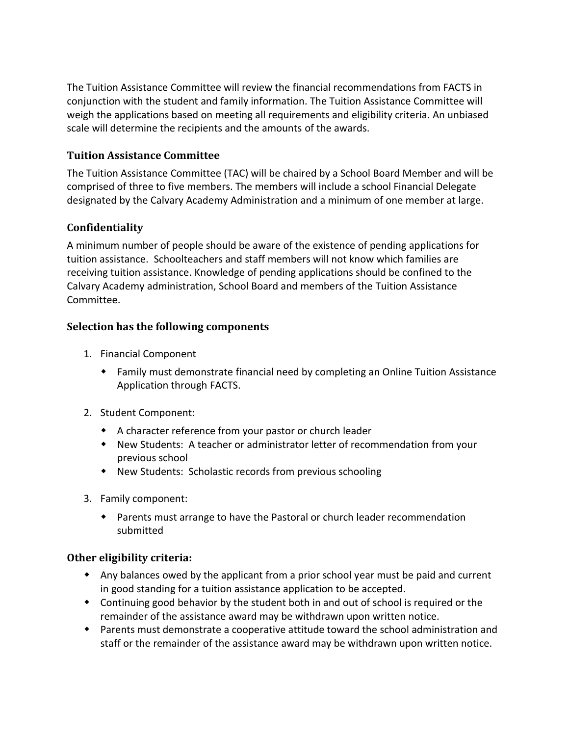The Tuition Assistance Committee will review the financial recommendations from FACTS in conjunction with the student and family information. The Tuition Assistance Committee will weigh the applications based on meeting all requirements and eligibility criteria. An unbiased scale will determine the recipients and the amounts of the awards.

### **Tuition Assistance Committee**

The Tuition Assistance Committee (TAC) will be chaired by a School Board Member and will be comprised of three to five members. The members will include a school Financial Delegate designated by the Calvary Academy Administration and a minimum of one member at large.

### **Confidentiality**

A minimum number of people should be aware of the existence of pending applications for tuition assistance. Schoolteachers and staff members will not know which families are receiving tuition assistance. Knowledge of pending applications should be confined to the Calvary Academy administration, School Board and members of the Tuition Assistance Committee.

#### **Selection has the following components**

- 1. Financial Component
	- Family must demonstrate financial need by completing an Online Tuition Assistance Application through FACTS.
- 2. Student Component:
	- A character reference from your pastor or church leader
	- New Students: A teacher or administrator letter of recommendation from your previous school
	- New Students: Scholastic records from previous schooling
- 3. Family component:
	- Parents must arrange to have the Pastoral or church leader recommendation submitted

#### **Other eligibility criteria:**

- Any balances owed by the applicant from a prior school year must be paid and current in good standing for a tuition assistance application to be accepted.
- Continuing good behavior by the student both in and out of school is required or the remainder of the assistance award may be withdrawn upon written notice.
- Parents must demonstrate a cooperative attitude toward the school administration and staff or the remainder of the assistance award may be withdrawn upon written notice.